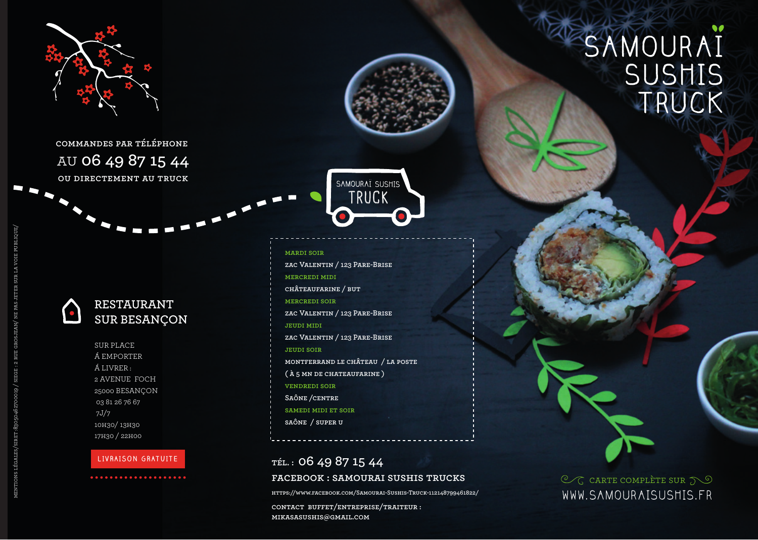

**commandes par téléphone**  au **06 49 87 15 44 ou directement au truck**



SUR PLACE Á EMPORTER Á LIVRER : 2 AVENUE FOCH 25000 BESANÇON 03 81 26 76 67 7J/7 10h30/ 13h30 17h30 / 22h00

## **LIVRAISON GRATUITE**

**zac Valentin / 123 Pare-Brise mercredi midi châteaufarine / but mercredi soir zac Valentin / 123 Pare-Brise jeudi midi zac Valentin / 123 Pare-Brise jeudi soir montferrand le château / la poste ( à 5 mn de chateaufarine ) vendredi soir Saône /centre samedi midi et soir saône / super u** 

**mardi soir** 

SAMOURAI SUSHIS TRUCK

## **tél. : 06 49 87 15 44 facebook : samourai sushis trucks**

**https://www.facebook.com/Samourai-Sushis-Truck-112148799461822/**

**contact buffet/entreprise/traiteur : mikasasushis@gmail.com**

## SAMOURAI SUSHIS TRUCK

 $\mathcal{C}_G$  carte complète sur  $\mathcal{D}$ WWW.SAMOURAISUSHIS.FR